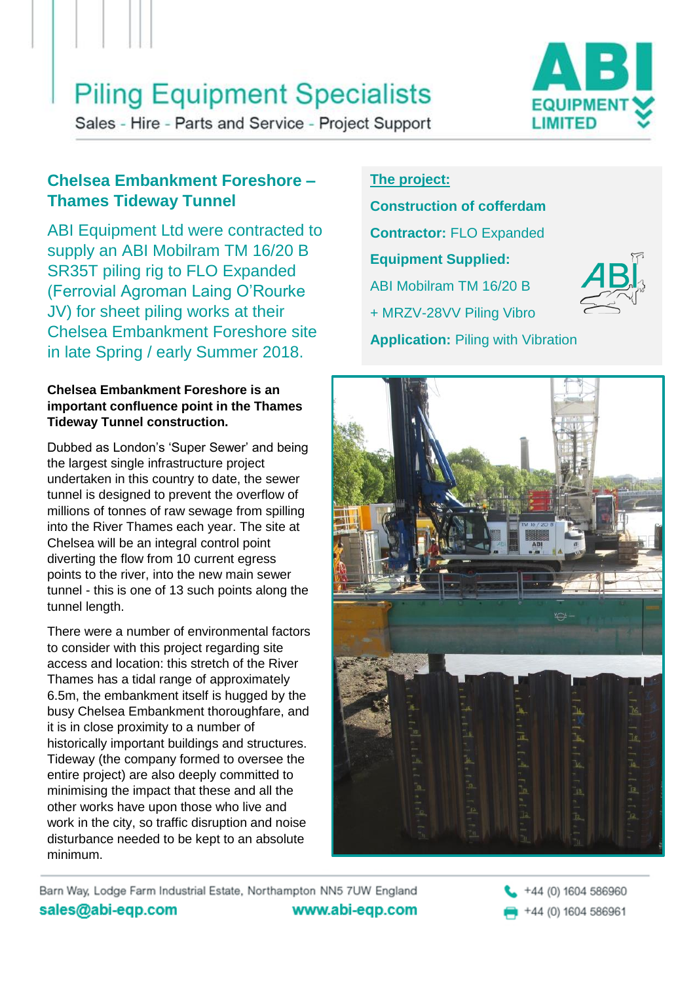## **Piling Equipment Specialists**



Sales - Hire - Parts and Service - Project Support

## **Chelsea Embankment Foreshore – Thames Tideway Tunnel**

ABI Equipment Ltd were contracted to supply an ABI Mobilram TM 16/20 B SR35T piling rig to FLO Expanded (Ferrovial Agroman Laing O'Rourke JV) for sheet piling works at their Chelsea Embankment Foreshore site in late Spring / early Summer 2018.

#### **Chelsea Embankment Foreshore is an important confluence point in the Thames Tideway Tunnel construction.**

Dubbed as London's 'Super Sewer' and being the largest single infrastructure project undertaken in this country to date, the sewer tunnel is designed to prevent the overflow of millions of tonnes of raw sewage from spilling into the River Thames each year. The site at Chelsea will be an integral control point diverting the flow from 10 current egress points to the river, into the new main sewer tunnel - this is one of 13 such points along the tunnel length.

There were a number of environmental factors to consider with this project regarding site access and location: this stretch of the River Thames has a tidal range of approximately 6.5m, the embankment itself is hugged by the busy Chelsea Embankment thoroughfare, and it is in close proximity to a number of historically important buildings and structures. Tideway (the company formed to oversee the entire project) are also deeply committed to minimising the impact that these and all the other works have upon those who live and work in the city, so traffic disruption and noise disturbance needed to be kept to an absolute minimum.

### **The project:**

**Construction of cofferdam Contractor:** FLO Expanded **Equipment Supplied:** ABI Mobilram TM 16/20 B + MRZV-28VV Piling Vibro **Application:** Piling with Vibration





Barn Way, Lodge Farm Industrial Estate, Northampton NN5 7UW England sales@abi-eqp.com www.abi-eqp.com

+44 (0) 1604 586960 +44 (0) 1604 586961